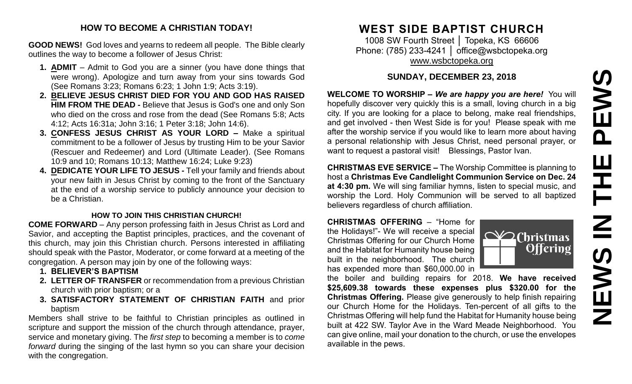# PEWS **NEWS IN THE PEWS**Ш ᆍ  $\overline{\mathbf{z}}$ **SWEN**

#### **HOW TO BECOME A CHRISTIAN TODAY!**

**GOOD NEWS!** God loves and yearns to redeem all people. The Bible clearly outlines the way to become a follower of Jesus Christ:

- **1. ADMIT** Admit to God you are a sinner (you have done things that were wrong). Apologize and turn away from your sins towards God (See Romans 3:23; Romans 6:23; 1 John 1:9; Acts 3:19).
- **2. BELIEVE JESUS CHRIST DIED FOR YOU AND GOD HAS RAISED HIM FROM THE DEAD -** Believe that Jesus is God's one and only Son who died on the cross and rose from the dead (See Romans 5:8; Acts 4:12; Acts 16:31a; John 3:16; 1 Peter 3:18; John 14:6).
- **3. CONFESS JESUS CHRIST AS YOUR LORD –** Make a spiritual commitment to be a follower of Jesus by trusting Him to be your Savior (Rescuer and Redeemer) and Lord (Ultimate Leader). (See Romans 10:9 and 10; Romans 10:13; Matthew 16:24; Luke 9:23)
- **4. DEDICATE YOUR LIFE TO JESUS -** Tell your family and friends about your new faith in Jesus Christ by coming to the front of the Sanctuary at the end of a worship service to publicly announce your decision to be a Christian.

#### **HOW TO JOIN THIS CHRISTIAN CHURCH!**

**COME FORWARD** – Any person professing faith in Jesus Christ as Lord and Savior, and accepting the Baptist principles, practices, and the covenant of this church, may join this Christian church. Persons interested in affiliating should speak with the Pastor, Moderator, or come forward at a meeting of the congregation. A person may join by one of the following ways:

- **1. BELIEVER'S BAPTISM**
- **2. LETTER OF TRANSFER** or recommendation from a previous Christian church with prior baptism; or a
- **3. SATISFACTORY STATEMENT OF CHRISTIAN FAITH** and prior baptism

Members shall strive to be faithful to Christian principles as outlined in scripture and support the mission of the church through attendance, prayer, service and monetary giving. The *first step* to becoming a member is to *come forward* during the singing of the last hymn so you can share your decision with the congregation.

### **WEST SIDE BAPTIST CHURCH**

1008 SW Fourth Street │ Topeka, KS 66606 Phone: (785) 233-4241 | [office@wsbctopeka.org](mailto:office@wsbctopeka.org) [www.wsbctopeka.org](http://www.wsbctopeka.org/)

#### **SUNDAY, DECEMBER 23, 2018**

**WELCOME TO WORSHIP –** *We are happy you are here!* You will hopefully discover very quickly this is a small, loving church in a big city. If you are looking for a place to belong, make real friendships, and get involved - then West Side is for you! Please speak with me after the worship service if you would like to learn more about having a personal relationship with Jesus Christ, need personal prayer, or want to request a pastoral visit! Blessings, Pastor Ivan.

**CHRISTMAS EVE SERVICE –** The Worship Committee is planning to host a **Christmas Eve Candlelight Communion Service on Dec. 24 at 4:30 pm.** We will sing familiar hymns, listen to special music, and worship the Lord. Holy Communion will be served to all baptized believers regardless of church affiliation.

**CHRISTMAS OFFERING** – "Home for the Holidays!"- We will receive a special Christmas Offering for our Church Home and the Habitat for Humanity house being built in the neighborhood. The church has expended more than \$60,000.00 in



the boiler and building repairs for 2018. **We have received \$25,609.38 towards these expenses plus \$320.00 for the Christmas Offering.** Please give generously to help finish repairing our Church Home for the Holidays. Ten-percent of all gifts to the Christmas Offering will help fund the Habitat for Humanity house being built at 422 SW. Taylor Ave in the Ward Meade Neighborhood. You can give online, mail your donation to the church, or use the envelopes available in the pews.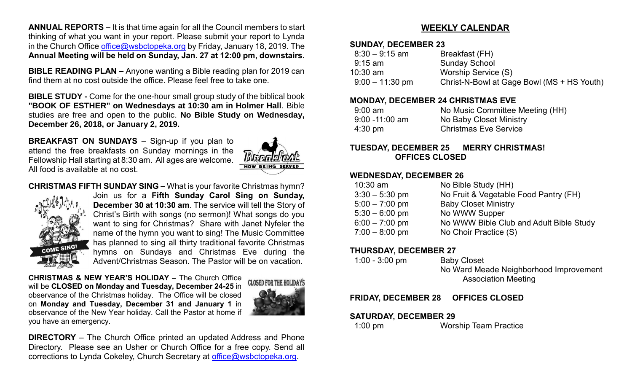**ANNUAL REPORTS –** It is that time again for all the Council members to start thinking of what you want in your report. Please submit your report to Lynda in the Church Office [office@wsbctopeka.org](mailto:office@wsbctopeka.org) by Friday, January 18, 2019. The **Annual Meeting will be held on Sunday, Jan. 27 at 12:00 pm, downstairs.** 

**BIBLE READING PLAN –** Anyone wanting a Bible reading plan for 2019 can find them at no cost outside the office. Please feel free to take one.

**BIBLE STUDY -** Come for the one-hour small group study of the biblical book **"BOOK OF ESTHER" on Wednesdays at 10:30 am in Holmer Hall**. Bible studies are free and open to the public. **No Bible Study on Wednesday, December 26, 2018, or January 2, 2019.**

**BREAKFAST ON SUNDAYS** – Sign-up if you plan to attend the free breakfasts on Sunday mornings in the Fellowship Hall starting at 8:30 am. All ages are welcome. All food is available at no cost.



**CHRISTMAS FIFTH SUNDAY SING –** What is your favorite Christmas hymn?



Join us for a **Fifth Sunday Carol Sing on Sunday, December 30 at 10:30 am**. The service will tell the Story of Christ's Birth with songs (no sermon)! What songs do you want to sing for Christmas? Share with Janet Nyfeler the name of the hymn you want to sing! The Music Committee has planned to sing all thirty traditional favorite Christmas hymns on Sundays and Christmas Eve during the Advent/Christmas Season. The Pastor will be on vacation.

**CHRISTMAS & NEW YEAR'S HOLIDAY –** The Church Office will be **CLOSED on Monday and Tuesday, December 24-25** in observance of the Christmas holiday. The Office will be closed on **Monday and Tuesday, December 31 and January 1** in observance of the New Year holiday. Call the Pastor at home if you have an emergency.



**DIRECTORY** – The Church Office printed an updated Address and Phone Directory. Please see an Usher or Church Office for a free copy. Send all corrections to Lynda Cokeley, Church Secretary at [office@wsbctopeka.org.](mailto:office@wsbctopeka.org)

#### **WEEKLY CALENDAR**

#### **SUNDAY, DECEMBER 23**

| Breakfast (FH)                             |
|--------------------------------------------|
| <b>Sunday School</b>                       |
| Worship Service (S)                        |
| Christ-N-Bowl at Gage Bowl (MS + HS Youth) |
|                                            |

#### **MONDAY, DECEMBER 24 CHRISTMAS EVE**

| $9:00$ am         | No Music Committee Meeting (HH) |
|-------------------|---------------------------------|
| $9:00 - 11:00$ am | No Baby Closet Ministry         |
| $4:30 \text{ pm}$ | <b>Christmas Eve Service</b>    |

#### **TUESDAY, DECEMBER 25 MERRY CHRISTMAS! OFFICES CLOSED**

#### **WEDNESDAY, DECEMBER 26**

| $10:30$ am       | No Bible Study (HH)                     |
|------------------|-----------------------------------------|
| $3:30 - 5:30$ pm | No Fruit & Vegetable Food Pantry (FH)   |
| $5:00 - 7:00$ pm | <b>Baby Closet Ministry</b>             |
| $5:30 - 6:00$ pm | No WWW Supper                           |
| $6:00 - 7:00$ pm | No WWW Bible Club and Adult Bible Study |
| $7:00 - 8:00$ pm | No Choir Practice (S)                   |
|                  |                                         |

#### **THURSDAY, DECEMBER 27**

| $1:00 - 3:00$ pm | <b>Baby Closet</b>                     |
|------------------|----------------------------------------|
|                  | No Ward Meade Neighborhood Improvement |
|                  | <b>Association Meeting</b>             |

#### **FRIDAY, DECEMBER 28 OFFICES CLOSED**

#### **SATURDAY, DECEMBER 29**

1:00 pm Worship Team Practice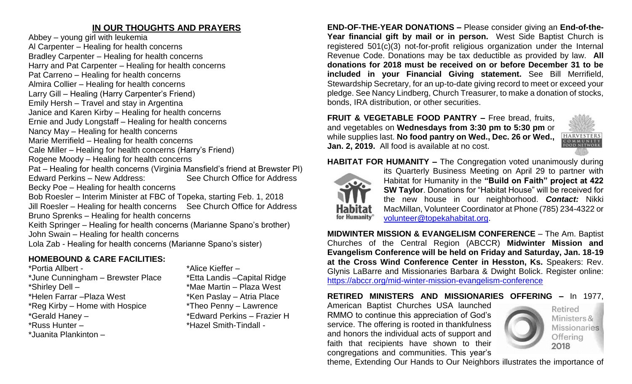#### **IN OUR THOUGHTS AND PRAYERS**

Abbey – young girl with leukemia Al Carpenter – Healing for health concerns Bradley Carpenter – Healing for health concerns Harry and Pat Carpenter – Healing for health concerns Pat Carreno – Healing for health concerns Almira Collier – Healing for health concerns Larry Gill – Healing (Harry Carpenter's Friend) Emily Hersh – Travel and stay in Argentina Janice and Karen Kirby – Healing for health concerns Ernie and Judy Longstaff – Healing for health concerns Nancy May – Healing for health concerns Marie Merrifield – Healing for health concerns Cale Miller – Healing for health concerns (Harry's Friend) Rogene Moody – Healing for health concerns Pat – Healing for health concerns (Virginia Mansfield's friend at Brewster Pl) Edward Perkins – New Address: See Church Office for Address Becky Poe – Healing for health concerns Bob Roesler – Interim Minister at FBC of Topeka, starting Feb. 1, 2018 Jill Roesler – Healing for health concerns See Church Office for Address Bruno Sprenks – Healing for health concerns Keith Springer – Healing for health concerns (Marianne Spano's brother) John Swain – Healing for health concerns Lola Zab - Healing for health concerns (Marianne Spano's sister)

#### **HOMEBOUND & CARE FACILITIES:**

\*Portia Allbert - \*Alice Kieffer – \*June Cunningham – Brewster Place \*Etta Landis –Capital Ridge \*Shirley Dell – \*Mae Martin – Plaza West \*Helen Farrar – Plaza West \*Ken Paslay – Atria Place \*Reg Kirby – Home with Hospice \*Theo Penny – Lawrence<br>\*Gerald Haney – \* \*Edward Perkins – Frazie \*Russ Hunter – \* \*Hazel Smith-Tindall -\*Juanita Plankinton –

\*Edward Perkins – Frazier H

**END-OF-THE-YEAR DONATIONS –** Please consider giving an **End-of-the-Year financial gift by mail or in person.** West Side Baptist Church is registered 501(c)(3) not-for-profit religious organization under the Internal Revenue Code. Donations may be tax deductible as provided by law. **All donations for 2018 must be received on or before December 31 to be included in your Financial Giving statement.** See Bill Merrifield, Stewardship Secretary, for an up-to-date giving record to meet or exceed your pledge. See Nancy Lindberg, Church Treasurer, to make a donation of stocks, bonds, IRA distribution, or other securities.

**FRUIT & VEGETABLE FOOD PANTRY –** Free bread, fruits, and vegetables on **Wednesdays from 3:30 pm to 5:30 pm** or while supplies last. **No food pantry on Wed., Dec. 26 or Wed., Jan. 2, 2019.** All food is available at no cost.



**HABITAT FOR HUMANITY –** The Congregation voted unanimously during



its Quarterly Business Meeting on April 29 to partner with Habitat for Humanity in the **"Build on Faith" project at 422 SW Taylor**. Donations for "Habitat House" will be received for the new house in our neighborhood. *Contact:* Nikki MacMillan, Volunteer Coordinator at Phone (785) 234-4322 or [volunteer@topekahabitat.org.](mailto:volunteer@topekahabitat.org)

**MIDWINTER MISSION & EVANGELISM CONFERENCE** – The Am. Baptist Churches of the Central Region (ABCCR) **Midwinter Mission and Evangelism Conference will be held on Friday and Saturday, Jan. 18-19 at the Cross Wind Conference Center in Hesston, Ks.** Speakers: Rev. Glynis LaBarre and Missionaries Barbara & Dwight Bolick. Register online: <https://abccr.org/mid-winter-mission-evangelism-conference>

**RETIRED MINISTERS AND MISSIONARIES OFFERING –** In 1977,

American Baptist Churches USA launched RMMO to continue this appreciation of God's service. The offering is rooted in thankfulness and honors the individual acts of support and faith that recipients have shown to their congregations and communities. This year's



Retired Ministers & **Missionaries** Offering 2018

theme, Extending Our Hands to Our Neighbors illustrates the importance of